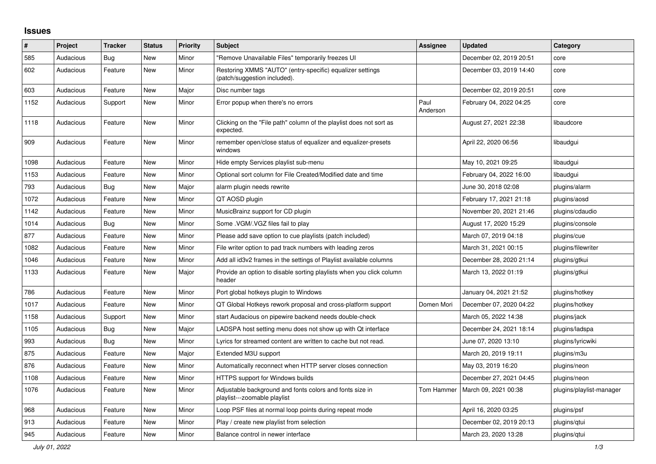## **Issues**

| ∦    | Project   | <b>Tracker</b> | <b>Status</b> | <b>Priority</b> | <b>Subject</b>                                                                            | <b>Assignee</b>  | <b>Updated</b>          | Category                 |
|------|-----------|----------------|---------------|-----------------|-------------------------------------------------------------------------------------------|------------------|-------------------------|--------------------------|
| 585  | Audacious | <b>Bug</b>     | <b>New</b>    | Minor           | "Remove Unavailable Files" temporarily freezes UI                                         |                  | December 02, 2019 20:51 | core                     |
| 602  | Audacious | Feature        | New           | Minor           | Restoring XMMS "AUTO" (entry-specific) equalizer settings<br>(patch/suggestion included). |                  | December 03, 2019 14:40 | core                     |
| 603  | Audacious | Feature        | <b>New</b>    | Major           | Disc number tags                                                                          |                  | December 02, 2019 20:51 | core                     |
| 1152 | Audacious | Support        | New           | Minor           | Error popup when there's no errors                                                        | Paul<br>Anderson | February 04, 2022 04:25 | core                     |
| 1118 | Audacious | Feature        | <b>New</b>    | Minor           | Clicking on the "File path" column of the playlist does not sort as<br>expected.          |                  | August 27, 2021 22:38   | libaudcore               |
| 909  | Audacious | Feature        | New           | Minor           | remember open/close status of equalizer and equalizer-presets<br>windows                  |                  | April 22, 2020 06:56    | libaudgui                |
| 1098 | Audacious | Feature        | <b>New</b>    | Minor           | Hide empty Services playlist sub-menu                                                     |                  | May 10, 2021 09:25      | libaudgui                |
| 1153 | Audacious | Feature        | New           | Minor           | Optional sort column for File Created/Modified date and time                              |                  | February 04, 2022 16:00 | libaudgui                |
| 793  | Audacious | Bug            | New           | Major           | alarm plugin needs rewrite                                                                |                  | June 30, 2018 02:08     | plugins/alarm            |
| 1072 | Audacious | Feature        | <b>New</b>    | Minor           | QT AOSD plugin                                                                            |                  | February 17, 2021 21:18 | plugins/aosd             |
| 1142 | Audacious | Feature        | <b>New</b>    | Minor           | MusicBrainz support for CD plugin                                                         |                  | November 20, 2021 21:46 | plugins/cdaudio          |
| 1014 | Audacious | Bug            | <b>New</b>    | Minor           | Some .VGM/.VGZ files fail to play                                                         |                  | August 17, 2020 15:29   | plugins/console          |
| 877  | Audacious | Feature        | <b>New</b>    | Minor           | Please add save option to cue playlists (patch included)                                  |                  | March 07, 2019 04:18    | plugins/cue              |
| 1082 | Audacious | Feature        | <b>New</b>    | Minor           | File writer option to pad track numbers with leading zeros                                |                  | March 31, 2021 00:15    | plugins/filewriter       |
| 1046 | Audacious | Feature        | New           | Minor           | Add all id3v2 frames in the settings of Playlist available columns                        |                  | December 28, 2020 21:14 | plugins/gtkui            |
| 1133 | Audacious | Feature        | New           | Major           | Provide an option to disable sorting playlists when you click column<br>header            |                  | March 13, 2022 01:19    | plugins/gtkui            |
| 786  | Audacious | Feature        | New           | Minor           | Port global hotkeys plugin to Windows                                                     |                  | January 04, 2021 21:52  | plugins/hotkey           |
| 1017 | Audacious | Feature        | <b>New</b>    | Minor           | QT Global Hotkeys rework proposal and cross-platform support                              | Domen Mori       | December 07, 2020 04:22 | plugins/hotkey           |
| 1158 | Audacious | Support        | <b>New</b>    | Minor           | start Audacious on pipewire backend needs double-check                                    |                  | March 05, 2022 14:38    | plugins/jack             |
| 1105 | Audacious | Bug            | <b>New</b>    | Major           | LADSPA host setting menu does not show up with Qt interface                               |                  | December 24, 2021 18:14 | plugins/ladspa           |
| 993  | Audacious | Bug            | <b>New</b>    | Minor           | Lyrics for streamed content are written to cache but not read.                            |                  | June 07, 2020 13:10     | plugins/lyricwiki        |
| 875  | Audacious | Feature        | <b>New</b>    | Major           | Extended M3U support                                                                      |                  | March 20, 2019 19:11    | plugins/m3u              |
| 876  | Audacious | Feature        | <b>New</b>    | Minor           | Automatically reconnect when HTTP server closes connection                                |                  | May 03, 2019 16:20      | plugins/neon             |
| 1108 | Audacious | Feature        | New           | Minor           | <b>HTTPS support for Windows builds</b>                                                   |                  | December 27, 2021 04:45 | plugins/neon             |
| 1076 | Audacious | Feature        | New           | Minor           | Adjustable background and fonts colors and fonts size in<br>playlist---zoomable playlist  | Tom Hammer       | March 09, 2021 00:38    | plugins/playlist-manager |
| 968  | Audacious | Feature        | New           | Minor           | Loop PSF files at normal loop points during repeat mode                                   |                  | April 16, 2020 03:25    | plugins/psf              |
| 913  | Audacious | Feature        | New           | Minor           | Play / create new playlist from selection                                                 |                  | December 02, 2019 20:13 | plugins/qtui             |
| 945  | Audacious | Feature        | <b>New</b>    | Minor           | Balance control in newer interface                                                        |                  | March 23, 2020 13:28    | plugins/gtui             |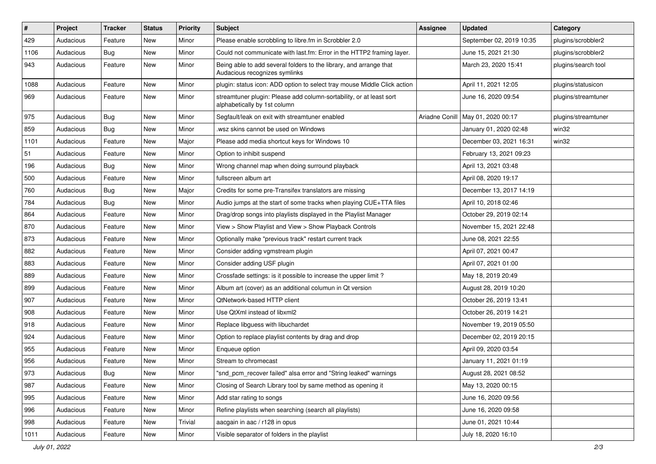| $\vert$ # | Project   | <b>Tracker</b> | <b>Status</b> | <b>Priority</b> | <b>Subject</b>                                                                                      | Assignee       | <b>Updated</b>           | Category            |
|-----------|-----------|----------------|---------------|-----------------|-----------------------------------------------------------------------------------------------------|----------------|--------------------------|---------------------|
| 429       | Audacious | Feature        | <b>New</b>    | Minor           | Please enable scrobbling to libre.fm in Scrobbler 2.0                                               |                | September 02, 2019 10:35 | plugins/scrobbler2  |
| 1106      | Audacious | Bug            | <b>New</b>    | Minor           | Could not communicate with last.fm: Error in the HTTP2 framing layer.                               |                | June 15, 2021 21:30      | plugins/scrobbler2  |
| 943       | Audacious | Feature        | New           | Minor           | Being able to add several folders to the library, and arrange that<br>Audacious recognizes symlinks |                | March 23, 2020 15:41     | plugins/search tool |
| 1088      | Audacious | Feature        | <b>New</b>    | Minor           | plugin: status icon: ADD option to select tray mouse Middle Click action                            |                | April 11, 2021 12:05     | plugins/statusicon  |
| 969       | Audacious | Feature        | New           | Minor           | streamtuner plugin: Please add column-sortability, or at least sort<br>alphabetically by 1st column |                | June 16, 2020 09:54      | plugins/streamtuner |
| 975       | Audacious | <b>Bug</b>     | <b>New</b>    | Minor           | Segfault/leak on exit with streamtuner enabled                                                      | Ariadne Conill | May 01, 2020 00:17       | plugins/streamtuner |
| 859       | Audacious | <b>Bug</b>     | <b>New</b>    | Minor           | wsz skins cannot be used on Windows                                                                 |                | January 01, 2020 02:48   | win32               |
| 1101      | Audacious | Feature        | <b>New</b>    | Major           | Please add media shortcut keys for Windows 10                                                       |                | December 03, 2021 16:31  | win32               |
| 51        | Audacious | Feature        | <b>New</b>    | Minor           | Option to inhibit suspend                                                                           |                | February 13, 2021 09:23  |                     |
| 196       | Audacious | <b>Bug</b>     | New           | Minor           | Wrong channel map when doing surround playback                                                      |                | April 13, 2021 03:48     |                     |
| 500       | Audacious | Feature        | <b>New</b>    | Minor           | fullscreen album art                                                                                |                | April 08, 2020 19:17     |                     |
| 760       | Audacious | <b>Bug</b>     | <b>New</b>    | Major           | Credits for some pre-Transifex translators are missing                                              |                | December 13, 2017 14:19  |                     |
| 784       | Audacious | <b>Bug</b>     | <b>New</b>    | Minor           | Audio jumps at the start of some tracks when playing CUE+TTA files                                  |                | April 10, 2018 02:46     |                     |
| 864       | Audacious | Feature        | New           | Minor           | Drag/drop songs into playlists displayed in the Playlist Manager                                    |                | October 29, 2019 02:14   |                     |
| 870       | Audacious | Feature        | New           | Minor           | View > Show Playlist and View > Show Playback Controls                                              |                | November 15, 2021 22:48  |                     |
| 873       | Audacious | Feature        | <b>New</b>    | Minor           | Optionally make "previous track" restart current track                                              |                | June 08, 2021 22:55      |                     |
| 882       | Audacious | Feature        | New           | Minor           | Consider adding vgmstream plugin                                                                    |                | April 07, 2021 00:47     |                     |
| 883       | Audacious | Feature        | <b>New</b>    | Minor           | Consider adding USF plugin                                                                          |                | April 07, 2021 01:00     |                     |
| 889       | Audacious | Feature        | New           | Minor           | Crossfade settings: is it possible to increase the upper limit?                                     |                | May 18, 2019 20:49       |                     |
| 899       | Audacious | Feature        | New           | Minor           | Album art (cover) as an additional columun in Qt version                                            |                | August 28, 2019 10:20    |                     |
| 907       | Audacious | Feature        | <b>New</b>    | Minor           | QtNetwork-based HTTP client                                                                         |                | October 26, 2019 13:41   |                     |
| 908       | Audacious | Feature        | New           | Minor           | Use QtXml instead of libxml2                                                                        |                | October 26, 2019 14:21   |                     |
| 918       | Audacious | Feature        | New           | Minor           | Replace libguess with libuchardet                                                                   |                | November 19, 2019 05:50  |                     |
| 924       | Audacious | Feature        | <b>New</b>    | Minor           | Option to replace playlist contents by drag and drop                                                |                | December 02, 2019 20:15  |                     |
| 955       | Audacious | Feature        | New           | Minor           | Enqueue option                                                                                      |                | April 09, 2020 03:54     |                     |
| 956       | Audacious | Feature        | <b>New</b>    | Minor           | Stream to chromecast                                                                                |                | January 11, 2021 01:19   |                     |
| 973       | Audacious | Bug            | New           | Minor           | "snd_pcm_recover failed" alsa error and "String leaked" warnings                                    |                | August 28, 2021 08:52    |                     |
| 987       | Audacious | Feature        | New           | Minor           | Closing of Search Library tool by same method as opening it                                         |                | May 13, 2020 00:15       |                     |
| 995       | Audacious | Feature        | New           | Minor           | Add star rating to songs                                                                            |                | June 16, 2020 09:56      |                     |
| 996       | Audacious | Feature        | New           | Minor           | Refine playlists when searching (search all playlists)                                              |                | June 16, 2020 09:58      |                     |
| 998       | Audacious | Feature        | <b>New</b>    | Trivial         | aacgain in aac / r128 in opus                                                                       |                | June 01, 2021 10:44      |                     |
| 1011      | Audacious | Feature        | New           | Minor           | Visible separator of folders in the playlist                                                        |                | July 18, 2020 16:10      |                     |